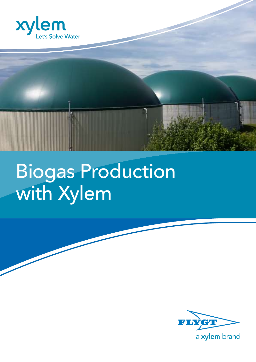



# Biogas Production with Xylem

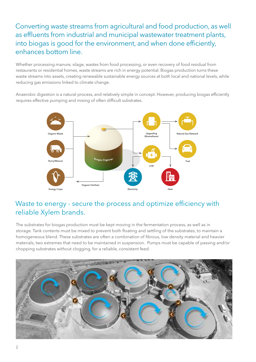Converting waste streams from agricultural and food production, as well as effluents from industrial and municipal wastewater treatment plants, into biogas is good for the environment, and when done efficiently, enhances bottom line.

Whether processing manure, silage, wastes from food processing, or even recovery of food residual from restaurants or residential homes, waste streams are rich in energy potential. Biogas production turns these waste streams into assets, creating renewable sustainable energy sources at both local and national levels, while reducing gas emissions linked to climate change.

Anaerobic digestion is a natural process, and relatively simple in concept. However, producing biogas efficiently requires effective pumping and mixing of often difficult substrates.



#### Waste to energy - secure the process and optimize efficiency with reliable Xylem brands.

The substrates for biogas production must be kept moving in the fermentation process, as well as in storage. Tank contents must be mixed to prevent both floating and settling of the substrates, to maintain a homogeneous blend. These substrates are often a combination of fibrous, low density material and heavier materials, two extremes that need to be maintained in suspension. Pumps must be capable of passing and/or chopping substrates without clogging, for a reliable, consistent feed.

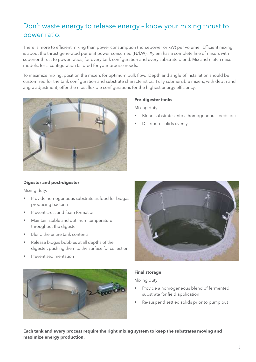#### Don't waste energy to release energy – know your mixing thrust to power ratio.

There is more to efficient mixing than power consumption (horsepower or kW) per volume. Efficient mixing is about the thrust generated per unit power consumed (N/kW). Xylem has a complete line of mixers with superior thrust to power ratios, for every tank configuration and every substrate blend. Mix and match mixer models, for a configuration tailored for your precise needs.

To maximize mixing, position the mixers for optimum bulk flow. Depth and angle of installation should be customized for the tank configuration and substrate characteristics. Fully submersible mixers, with depth and angle adjustment, offer the most flexible configurations for the highest energy efficiency.



#### **Pre-digester tanks**

Mixing duty:

- Blend substrates into a homogeneous feedstock
- Distribute solids evenly

#### **Digester and post-digester**

Mixing duty:

- Provide homogeneous substrate as food for biogas producing bacteria
- Prevent crust and foam formation
- Maintain stable and optimum temperature throughout the digester
- Blend the entire tank contents
- Release biogas bubbles at all depths of the digester, pushing them to the surface for collection
- Prevent sedimentation





#### **Final storage**

Mixing duty:

- Provide a homogeneous blend of fermented substrate for field application
- Re-suspend settled solids prior to pump out

**Each tank and every process require the right mixing system to keep the substrates moving and maximize energy production.**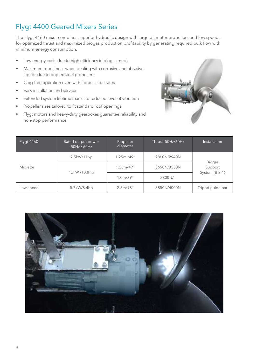### Flygt 4400 Geared Mixers Series

The Flygt 4460 mixer combines superior hydraulic design with large diameter propellers and low speeds for optimized thrust and maximized biogas production profitability by generating required bulk flow with minimum energy consumption.

- Low energy costs due to high efficiency in biogas media
- Maximum robustness when dealing with corrosive and abrasive liquids due to duplex steel propellers
- Clog-free operation even with fibrous substrates
- Easy installation and service
- Extended system lifetime thanks to reduced level of vibration
- Propeller sizes tailored to fit standard roof openings
- Flygt motors and heavy-duty gearboxes guarantee reliability and non-stop performance



| <b>Flygt 4460</b> | Rated output power<br>50Hz / 60Hz | Propeller<br>diameter | Thrust 50Hz/60Hz | Installation'                              |
|-------------------|-----------------------------------|-----------------------|------------------|--------------------------------------------|
| Mid-size          | 7.5kW/11hp                        | 1.25m/49''            | 2860N/2940N      | <b>Biogas</b><br>Support<br>System (BIS-1) |
|                   | 12kW/18.8hp                       | 1.25m/49''            | 3650N/3550N      |                                            |
|                   |                                   | 1.0 <sub>m</sub> /39" | $2800N/-$        |                                            |
| Low speed         | 5.7kW/8.4hp                       | 2.5m/98''             | 3850N/4000N      | Tripod guide bar                           |

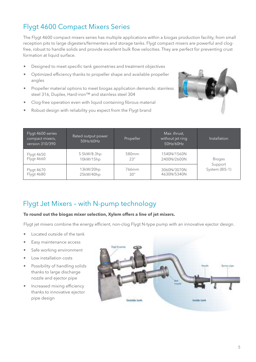# Flygt 4600 Compact Mixers Series

The Flygt 4600 compact mixers series has multiple applications within a biogas production facility, from small reception pits to large digesters/fermenters and storage tanks. Flygt compact mixers are powerful and clogfree, robust to handle solids and provide excellent bulk flow velocities. They are perfect for preventing crust formation at liquid surface.

- Designed to meet specific tank geometries and treatment objectives
- Optimized efficiency thanks to propeller shape and available propeller angles
- Propeller material options to meet biogas application demands: stainless steel 316, Duplex, Hard-iron™ and stainless steel 304
- Clog-free operation even with liquid containing fibrous material
- Robust design with reliability you expect from the Flygt brand



| Flygt 4600 series<br>compact mixers,<br>version 310/390 | Rated output power<br>50Hz/60Hz | Propeller                 | Max. thrust,<br>without jet ring<br>50Hz/60Hz | Installation                               |
|---------------------------------------------------------|---------------------------------|---------------------------|-----------------------------------------------|--------------------------------------------|
| Flygt 4650<br>Flygt 4660                                | 5.5kW/8.3hp<br>10kW/15hp        | 580 <sub>mm</sub><br>23'' | 1540N/1560N<br>2400N/2600N                    | <b>Biogas</b><br>Support<br>System (BIS-1) |
| <b>Flygt 4670</b><br><b>Flygt 4680</b>                  | 13kW/20hp<br>25kW/40hp          | 766 <sub>mm</sub><br>30'' | 3060N/3070N<br>4630N/5340N                    |                                            |

#### Flygt Jet Mixers – with N-pump technology

#### **To round out the biogas mixer selection, Xylem offers a line of jet mixers.**

Flygt jet mixers combine the energy efficient, non-clog Flygt N-type pump with an innovative ejector design.

- Located outside of the tank
- Easy maintenance access
- Safe working environment
- Low installation costs
- Possibility of handling solids thanks to large discharge nozzle and ejector pipe
- Increased mixing efficiency thanks to innovative ejector pipe design

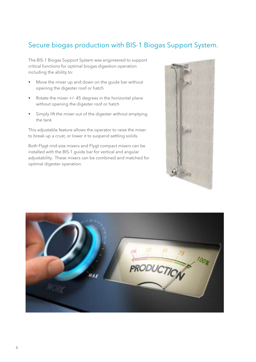### Secure biogas production with BIS-1 Biogas Support System.

The BIS-1 Biogas Support System was engineered to support critical functions for optimal biogas digestion operation including the ability to:

- Move the mixer up and down on the guide bar without opening the digester roof or hatch
- Rotate the mixer +/- 45 degrees in the horizontal plane without opening the digester roof or hatch
- Simply lift the mixer out of the digester without emptying the tank

This adjustable feature allows the operator to raise the mixer to break up a crust, or lower it to suspend settling solids.

Both Flygt mid-size mixers and Flygt compact mixers can be installed with the BIS-1 guide bar for vertical and angular adjustability. These mixers can be combined and matched for optimal digester operation.



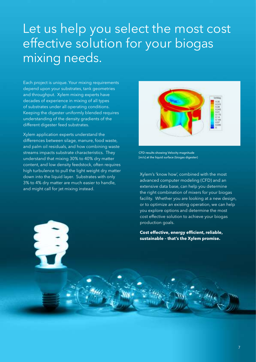# Let us help you select the most cost effective solution for your biogas mixing needs.

Each project is unique. Your mixing requirements depend upon your substrates, tank geometries and throughput. Xylem mixing experts have decades of experience in mixing of all types of substrates under all operating conditions. Keeping the digester uniformly blended requires understanding of the density gradients of the different digester feed substrates.

Xylem application experts understand the differences between silage, manure, food waste, and palm oil residuals, and how combining waste streams impacts substrate characteristics. They understand that mixing 30% to 40% dry matter content, and low density feedstock, often requires high turbulence to pull the light weight dry matter down into the liquid layer. Substrates with only 3% to 4% dry matter are much easier to handle, and might call for jet mixing instead.



CFD results showing Velocity magnitude [m/s] at the liquid surface (biogas digester)

Xylem's 'know how', combined with the most advanced computer modeling (CFD) and an extensive data base, can help you determine the right combination of mixers for your biogas facility. Whether you are looking at a new design, or to optimize an existing operation, we can help you explore options and determine the most cost effective solution to achieve your biogas production goals.

**Cost effective, energy efficient, reliable, sustainable – that's the Xylem promise.**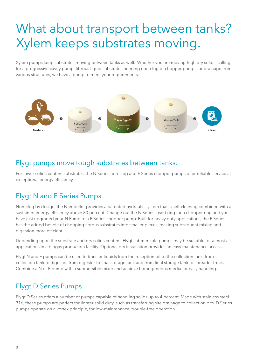# What about transport between tanks? Xylem keeps substrates moving.

Xylem pumps keep substrates moving between tanks as well. Whether you are moving high dry solids, calling for a progressive cavity pump, fibrous liquid substrates needing non-clog or chopper pumps, or drainage from various structures, we have a pump to meet your requirements.



#### Flygt pumps move tough substrates between tanks.

For lower solids content substrates, the N Series non-clog and F Series chopper pumps offer reliable service at exceptional energy efficiency.

#### Flygt N and F Series Pumps.

Non-clog by design, the N-impeller provides a patented hydraulic system that is self-cleaning combined with a sustained energy efficiency above 80 percent. Change out the N Series insert ring for a chopper ring and you have just upgraded your N Pump to a F Series chopper pump. Built for heavy duty applications, the F Series has the added benefit of chopping fibrous substrates into smaller pieces, making subsequent mixing and digestion more efficient.

Depending upon the substrate and dry solids content, Flygt submersible pumps may be suitable for almost all applications in a biogas production facility. Optional dry installation provides an easy maintenance access.

Flygt N and F pumps can be used to transfer liquids from the reception pit to the collection tank, from collection tank to digester, from digester to final storage tank and from final storage tank to spreader truck. Combine a N or F pump with a submersible mixer and achieve homogeneous media for easy handling.

#### Flygt D Series Pumps.

Flygt D Series offers a number of pumps capable of handling solids up to 4 percent. Made with stainless steel 316, these pumps are perfect for lighter solid duty, such as transferring site drainage to collection pits. D Series pumps operate on a vortex principle, for low-maintenance, trouble-free operation.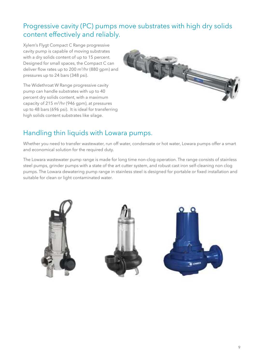### Progressive cavity (PC) pumps move substrates with high dry solids content effectively and reliably.

Xylem's Flygt Compact C Range progressive cavity pump is capable of moving substrates with a dry solids content of up to 15 percent. Designed for small spaces, the Compact C can deliver flow rates up to 200 m3/hr (880 gpm) and pressures up to 24 bars (348 psi).

The Widethroat W Range progressive cavity pump can handle substrates with up to 40 percent dry solids content, with a maximum capacity of 215 m3/hr (946 gpm), at pressures up to 48 bars (696 psi). It is ideal for transferring high solids content substrates like silage.



#### Handling thin liquids with Lowara pumps.

Whether you need to transfer wastewater, run off water, condensate or hot water, Lowara pumps offer a smart and economical solution for the required duty.

The Lowara wastewater pump range is made for long time non-clog operation. The range consists of stainless steel pumps, grinder pumps with a state of the art cutter system, and robust cast iron self-cleaning non clog pumps. The Lowara dewatering pump range in stainless steel is designed for portable or fixed installation and suitable for clean or light contaminated water.

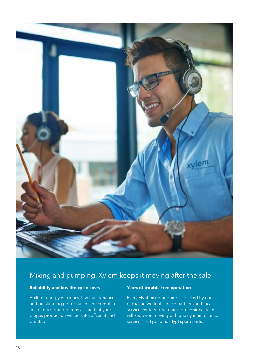

#### Mixing and pumping, Xylem keeps it moving after the sale.

#### **Reliability and low life-cycle costs**

Built for energy efficiency, low maintenance and outstanding performance, the complete line of mixers and pumps assure that your biogas production will be safe, efficient and profitable.

#### **Years of trouble-free operation**

Every Flygt mixer or pump is backed by our global network of service partners and local service centers. Our quick, professional teams will keep you moving with quality maintenance services and genuine Flygt spare parts.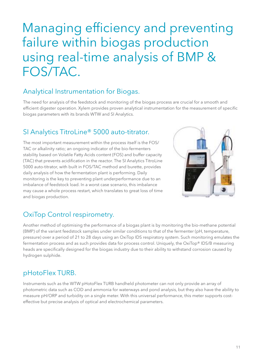# Managing efficiency and preventing failure within biogas production using real-time analysis of BMP & FOS/TAC.

#### Analytical Instrumentation for Biogas.

The need for analysis of the feedstock and monitoring of the biogas process are crucial for a smooth and efficient digester operation. Xylem provides proven analytical instrumentation for the measurement of specific biogas parameters with its brands WTW and SI Analytics.

#### SI Analytics TitroLine® 5000 auto-titrator.

The most important measurement within the process itself is the FOS/ TAC or alkalinity ratio; an ongoing indicator of the bio-fermenters stability based on Volatile Fatty Acids content (FOS) and buffer capacity (TAC) that prevents acidification in the reactor. The SI Analytics TitroLine 5000 auto-titrator, with built in FOS/TAC method and burette, provides daily analysis of how the fermentation plant is performing. Daily monitoring is the key to preventing plant underperformance due to an imbalance of feedstock load. In a worst case scenario, this imbalance may cause a whole process restart, which translates to great loss of time and biogas production.



## OxiTop Control respirometry.

Another method of optimising the performance of a biogas plant is by monitoring the bio-methane potential (BMP) of the variant feedstock samples under similar conditions to that of the fermenter (pH, temperature, pressure) over a period of 21 to 28 days using an OxiTop IDS respiratory system. Such monitoring emulates the fermentation process and as such provides data for process control. Uniquely, the OxiTop® IDS/B measuring heads are specifically designed for the biogas industry due to their ability to withstand corrosion caused by hydrogen sulphide.

### pHotoFlex TURB.

Instruments such as the WTW pHotoFlex TURB handheld photometer can not only provide an array of photometric data such as COD and ammonia for waterways and pond analysis, but they also have the ability to measure pH/ORP and turbidity on a single meter. With this universal performance, this meter supports costeffective but precise analysis of optical and electrochemical parameters.